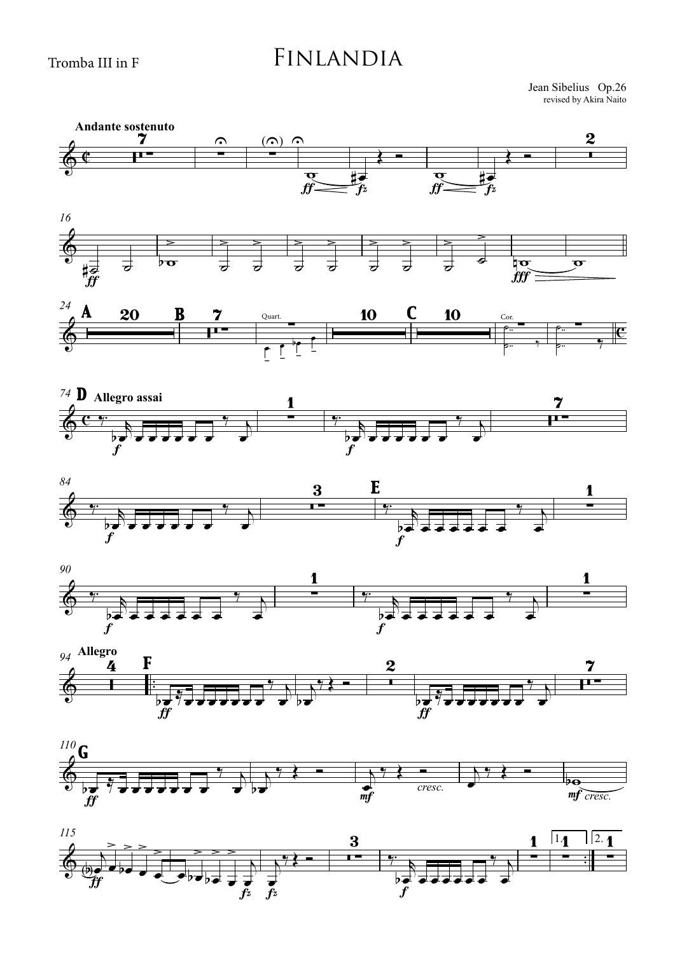## Finlandia

revised by Akira Naito Jean Sibelius Op.26



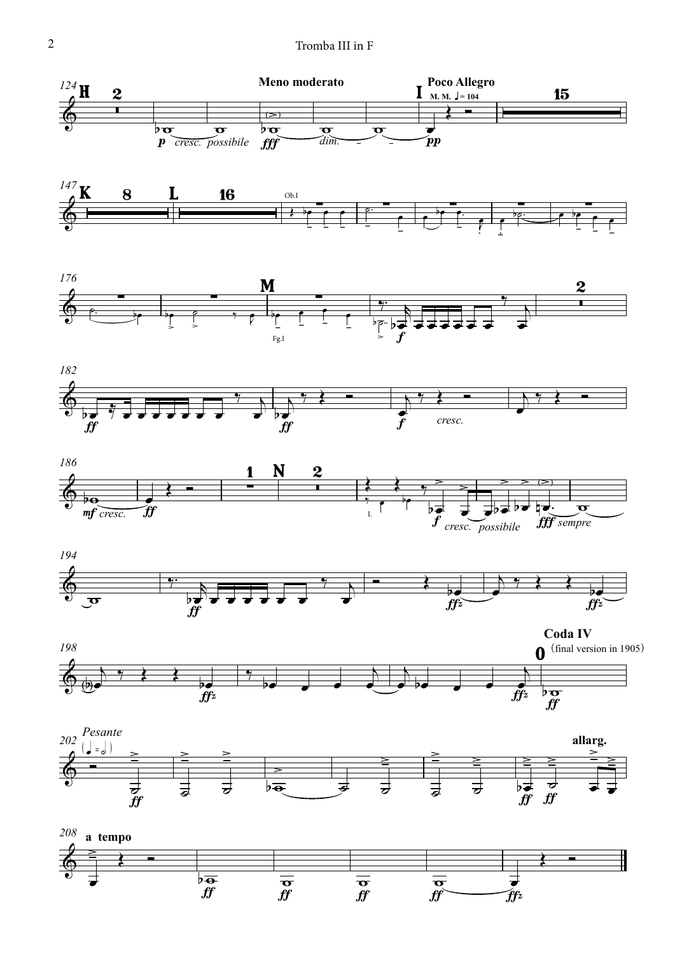

 $f f$ 

 $\widehat{f}$ 

ff